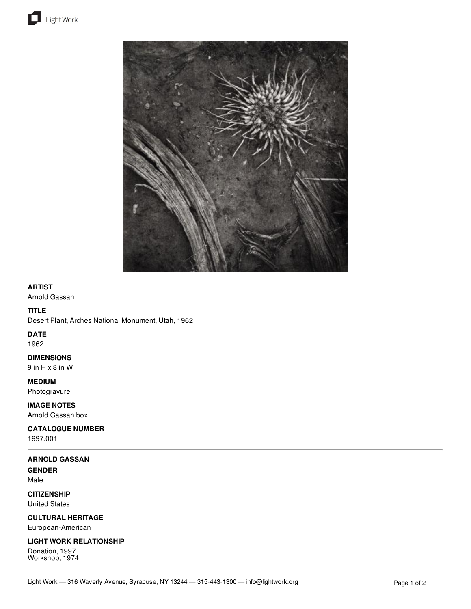





## **ARTIST**

Arnold Gassan

### **TITLE**

Desert Plant, Arches National Monument, Utah, 1962

## **DATE**

1962

## **DIMENSIONS**

9 in H x 8 in W

## **MEDIUM**

Photogravure

## **IMAGE NOTES** Arnold Gassan box

**CATALOGUE NUMBER**

1997.001

## **ARNOLD GASSAN**

**GENDER** Male

**CITIZENSHIP** United States

**CULTURAL HERITAGE** European-American

# **LIGHT WORK RELATIONSHIP**

Donation, 1997 Workshop, 1974